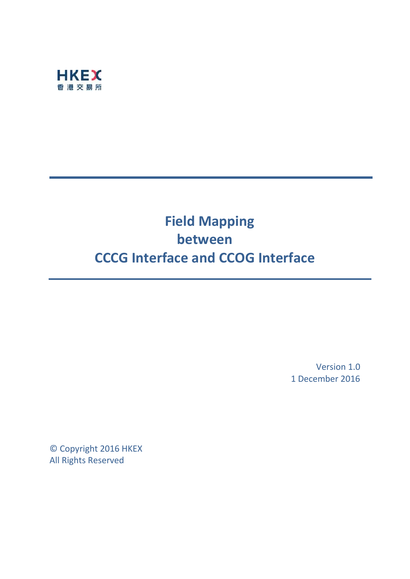

# **Field Mapping between CCCG Interface and CCOG Interface**

Version 1.0 1 December 2016

© Copyright 2016 HKEX All Rights Reserved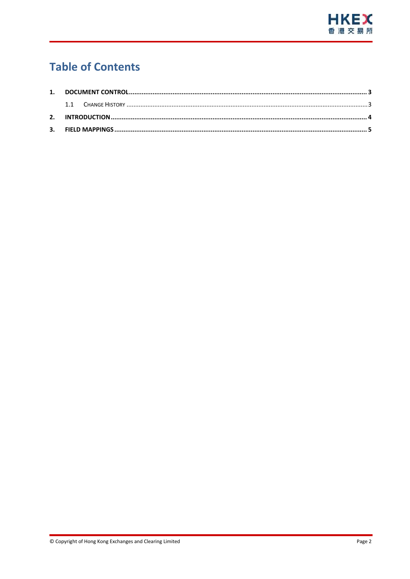

# **Table of Contents**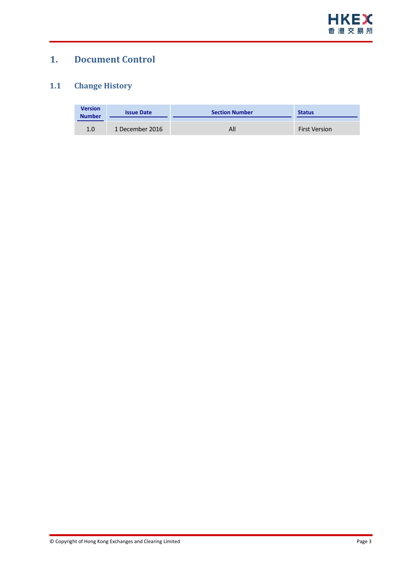

## <span id="page-2-0"></span>**1. Document Control**

#### <span id="page-2-1"></span>**1.1 Change History**

| <b>Version</b><br><b>Number</b> | <b>Issue Date</b> | <b>Section Number</b> | <b>Status</b>        |
|---------------------------------|-------------------|-----------------------|----------------------|
| 1.0                             | 1 December 2016   | All                   | <b>First Version</b> |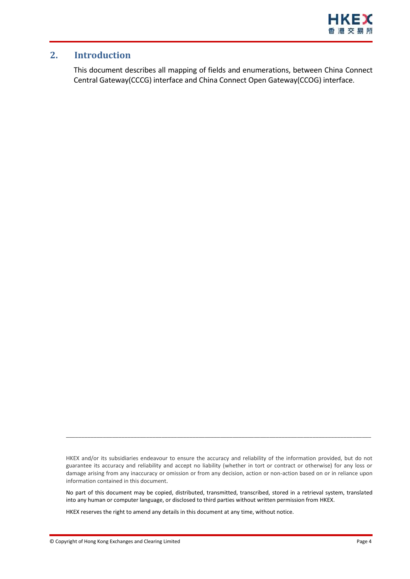

#### <span id="page-3-0"></span>**2. Introduction**

This document describes all mapping of fields and enumerations, between China Connect Central Gateway(CCCG) interface and China Connect Open Gateway(CCOG) interface.

\_\_\_\_\_\_\_\_\_\_\_\_\_\_\_\_\_\_\_\_\_\_\_\_\_\_\_\_\_\_\_\_\_\_\_\_\_\_\_\_\_\_\_\_\_\_\_\_\_\_\_\_\_\_\_\_\_\_\_\_\_\_\_\_\_\_\_\_\_\_\_\_\_\_\_\_\_\_\_\_\_\_\_\_\_\_\_\_\_\_\_\_\_\_\_\_\_\_\_

HKEX reserves the right to amend any details in this document at any time, without notice.

HKEX and/or its subsidiaries endeavour to ensure the accuracy and reliability of the information provided, but do not guarantee its accuracy and reliability and accept no liability (whether in tort or contract or otherwise) for any loss or damage arising from any inaccuracy or omission or from any decision, action or non-action based on or in reliance upon information contained in this document.

No part of this document may be copied, distributed, transmitted, transcribed, stored in a retrieval system, translated into any human or computer language, or disclosed to third parties without written permission from HKEX.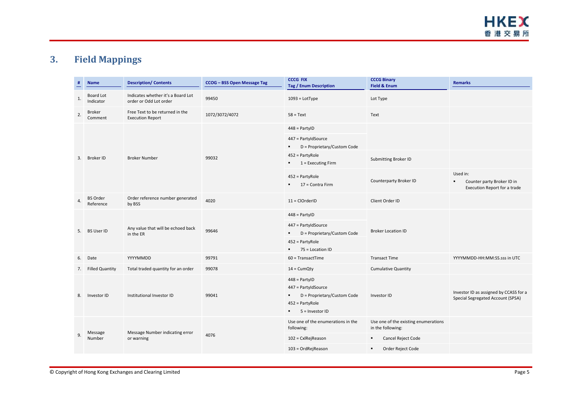## **3. Field Mappings**

<span id="page-4-0"></span>

|    | <b>Name</b>                  | <b>Description/Contents</b>                                  | <b>CCOG - BSS Open Message Tag</b> | <b>CCCG FIX</b><br><b>Tag / Enum Description</b>                                                                 | <b>CCCG Binary</b><br><b>Field &amp; Enum</b>             | <b>Remarks</b>                                                                           |
|----|------------------------------|--------------------------------------------------------------|------------------------------------|------------------------------------------------------------------------------------------------------------------|-----------------------------------------------------------|------------------------------------------------------------------------------------------|
| 1. | Board Lot<br>Indicator       | Indicates whether it's a Board Lot<br>order or Odd Lot order | 99450                              | $1093 =$ LotType                                                                                                 | Lot Type                                                  |                                                                                          |
| 2. | Broker<br>Comment            | Free Text to be returned in the<br><b>Execution Report</b>   | 1072/3072/4072                     | $58 = Text$                                                                                                      | Text                                                      |                                                                                          |
|    | Broker ID                    | <b>Broker Number</b>                                         | 99032                              | $448 =$ PartylD                                                                                                  |                                                           |                                                                                          |
| 3. |                              |                                                              |                                    | 447 = PartyIdSource<br>D = Proprietary/Custom Code<br>٠                                                          |                                                           |                                                                                          |
|    |                              |                                                              |                                    | 452 = PartyRole<br>$1 =$ Executing Firm<br>٠.                                                                    | Submitting Broker ID                                      |                                                                                          |
|    |                              |                                                              |                                    | 452 = PartyRole<br>17 = Contra Firm<br>$\blacksquare$                                                            | Counterparty Broker ID                                    | Used in:<br>Counter party Broker ID in<br>$\blacksquare$<br>Execution Report for a trade |
| 4. | <b>BS Order</b><br>Reference | Order reference number generated<br>by BSS                   | 4020                               | $11 = ClOrderID$                                                                                                 | Client Order ID                                           |                                                                                          |
|    | <b>BS User ID</b>            | Any value that will be echoed back<br>in the ER              | 99646                              | $448 =$ PartylD                                                                                                  | <b>Broker Location ID</b>                                 |                                                                                          |
| 5. |                              |                                                              |                                    | 447 = PartyIdSource<br>D = Proprietary/Custom Code<br>$\blacksquare$                                             |                                                           |                                                                                          |
|    |                              |                                                              |                                    | 452 = PartyRole<br>75 = Location ID<br>$\blacksquare$                                                            |                                                           |                                                                                          |
| 6. | Date                         | YYYYMMDD                                                     | 99791                              | $60$ = TransactTime                                                                                              | <b>Transact Time</b>                                      | YYYYMMDD-HH:MM:SS.sss in UTC                                                             |
| 7. | <b>Filled Quantity</b>       | Total traded quantity for an order                           | 99078                              | $14 =$ CumQty                                                                                                    | <b>Cumulative Quantity</b>                                |                                                                                          |
| 8. | Investor ID                  | Institutional Investor ID                                    | 99041                              | $448 =$ PartylD<br>447 = PartyIdSource<br>D = Proprietary/Custom Code<br>452 = PartyRole<br>5 = Investor ID<br>٠ | Investor ID                                               | Investor ID as assigned by CCASS for a<br>Special Segregated Account (SPSA)              |
| 9  | Message<br>Number            | Message Number indicating error<br>or warning                | 4076                               | Use one of the enumerations in the<br>following:                                                                 | Use one of the existing enumerations<br>in the following: |                                                                                          |
|    |                              |                                                              |                                    | 102 = CxlRejReason                                                                                               | Cancel Reject Code<br>٠                                   |                                                                                          |
|    |                              |                                                              |                                    | 103 = OrdRejReason                                                                                               | Order Reject Code                                         |                                                                                          |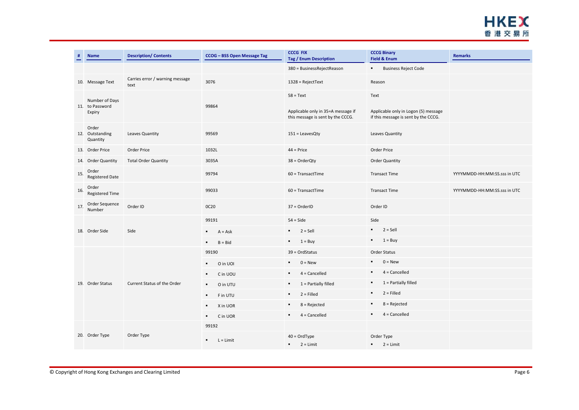

|     | <b>Name</b>                          | <b>Description/ Contents</b>            | CCOG - BSS Open Message Tag   | <b>CCCG FIX</b><br><b>Tag / Enum Description</b>                        | <b>CCCG Binary</b><br><b>Field &amp; Enum</b>                                | <b>Remarks</b>               |
|-----|--------------------------------------|-----------------------------------------|-------------------------------|-------------------------------------------------------------------------|------------------------------------------------------------------------------|------------------------------|
|     |                                      |                                         |                               | 380 = BusinessRejectReason                                              | <b>Business Reject Code</b><br>$\mathbf{r}$ .                                |                              |
|     | 10. Message Text                     | Carries error / warning message<br>text | 3076                          | $1328$ = RejectText                                                     | Reason                                                                       |                              |
|     | Number of Days                       |                                         |                               | $58 = Text$                                                             | Text                                                                         |                              |
|     | 11. to Password<br>Expiry            |                                         | 99864                         | Applicable only in 35=A message if<br>this message is sent by the CCCG. | Applicable only in Logon (5) message<br>if this message is sent by the CCCG. |                              |
|     | Order<br>12. Outstanding<br>Quantity | Leaves Quantity                         | 99569                         | $151 =$ LeavesQty                                                       | Leaves Quantity                                                              |                              |
|     | 13. Order Price                      | Order Price                             | 1032L                         | $44 =$ Price                                                            | Order Price                                                                  |                              |
|     | 14. Order Quantity                   | <b>Total Order Quantity</b>             | 3035A                         | $38 = OrderQty$                                                         | <b>Order Quantity</b>                                                        |                              |
| 15. | Order<br><b>Registered Date</b>      |                                         | 99794                         | $60$ = TransactTime                                                     | <b>Transact Time</b>                                                         | YYYYMMDD-HH:MM:SS.sss in UTC |
| 16. | Order<br><b>Registered Time</b>      |                                         | 99033                         | $60$ = TransactTime                                                     | <b>Transact Time</b>                                                         | YYYYMMDD-HH:MM:SS.sss in UTC |
| 17. | Order Sequence<br>Number             | Order ID                                | 0C20                          | $37 = OrderID$                                                          | Order ID                                                                     |                              |
|     | 18. Order Side                       | Side                                    | 99191                         | $54 = \text{Side}$                                                      | Side                                                                         |                              |
|     |                                      |                                         | $A = Ask$<br>$\blacksquare$   | $\blacksquare$<br>$2 =$ Sell                                            | $2 =$ Sell<br>$\mathbf{r}$ .                                                 |                              |
|     |                                      |                                         | $B = Bid$<br>$\blacksquare$   | $\blacksquare$<br>$1 = \text{Buy}$                                      | $\mathbf{r}$<br>$1 = \text{Buy}$                                             |                              |
|     | 19. Order Status                     | Current Status of the Order             | 99190                         | $39 = OrdStatus$                                                        | Order Status                                                                 |                              |
|     |                                      |                                         | O in UOI<br>٠                 | $0 = New$<br>$\blacksquare$                                             | $0 = New$                                                                    |                              |
|     |                                      |                                         | C in UOU<br>$\blacksquare$    | $4 =$ Cancelled<br>$\blacksquare$                                       | $4 =$ Cancelled                                                              |                              |
|     |                                      |                                         | O in UTU<br>$\blacksquare$    | $\blacksquare$<br>$1$ = Partially filled                                | $1$ = Partially filled<br>٠                                                  |                              |
|     |                                      |                                         | F in UTU<br>$\blacksquare$    | $2 =$ Filled<br>$\blacksquare$                                          | $2 =$ Filled<br>$\blacksquare$                                               |                              |
|     |                                      |                                         | X in UOR<br>$\blacksquare$    | $8 =$ Rejected<br>$\blacksquare$                                        | $8 =$ Rejected                                                               |                              |
|     |                                      |                                         | C in UOR<br>٠.                | $4 =$ Cancelled<br>$\blacksquare$                                       | $4 =$ Cancelled<br>٠                                                         |                              |
|     | 20. Order Type                       | Order Type                              | 99192                         |                                                                         |                                                                              |                              |
|     |                                      |                                         | $L = Limit$<br>$\blacksquare$ | $40 = OrdType$<br>$2 = Limit$                                           | Order Type<br>$2 = Limit$                                                    |                              |